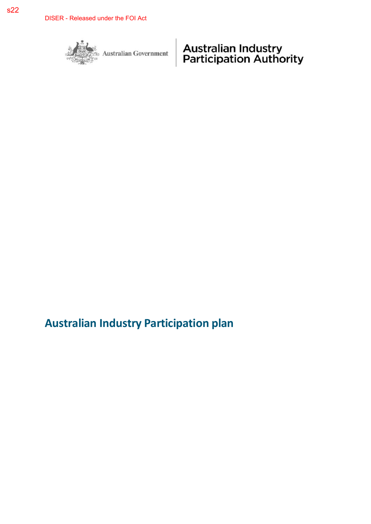

Australian Government

**Australian Industry<br>Participation Authority** 

# **Australian Industry Participation plan**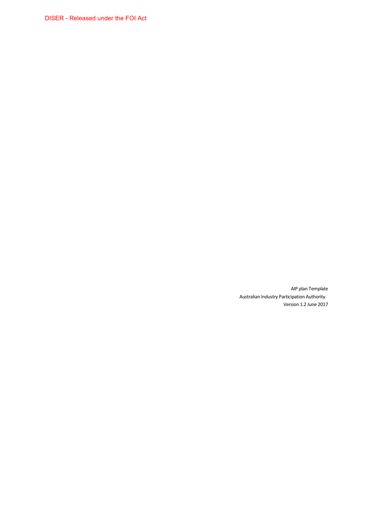DISER - Released under the FOI Act

AIP plan Template Australian Industry Participation Authority Version 1.2 June 2017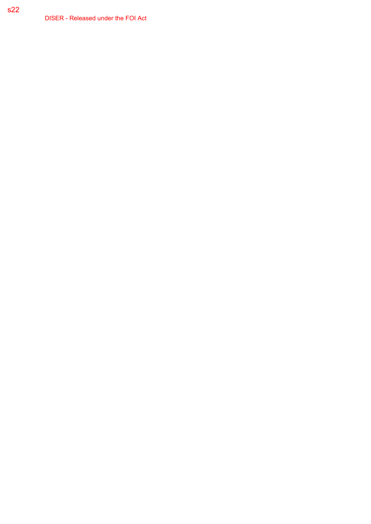DISER - Released under the FOI Act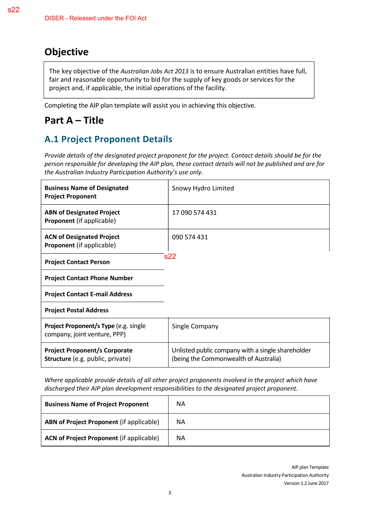# **Objective**

The key objective of the *Australian Jobs Act 2013* is to ensure Australian entities have full, fair and reasonable opportunity to bid for the supply of key goods or services for the project and, if applicable, the initial operations of the facility.

Completing the AIP plan template will assist you in achieving this objective.

# **Part A – Title**

# **A.1 Project Proponent Details**

*Provide details of the designated project proponent for the project. Contact details should be for the person responsible for developing the AIP plan, these contact details will not be published and are for the Australian Industry Participation Authority's use only.* 

| <b>Business Name of Designated</b><br><b>Project Proponent</b>                  | Snowy Hydro Limited                                                                        |
|---------------------------------------------------------------------------------|--------------------------------------------------------------------------------------------|
| <b>ABN of Designated Project</b><br><b>Proponent</b> (if applicable)            | 17 090 574 431                                                                             |
| <b>ACN of Designated Project</b><br><b>Proponent</b> (if applicable)            | 090 574 431                                                                                |
| <b>Project Contact Person</b>                                                   | s22                                                                                        |
| <b>Project Contact Phone Number</b>                                             |                                                                                            |
| <b>Project Contact E-mail Address</b>                                           |                                                                                            |
| <b>Project Postal Address</b>                                                   |                                                                                            |
| Project Proponent/s Type (e.g. single<br>company, joint venture, PPP)           | Single Company                                                                             |
| <b>Project Proponent/s Corporate</b><br><b>Structure</b> (e.g. public, private) | Unlisted public company with a single shareholder<br>(being the Commonwealth of Australia) |

*Where applicable provide details of all other project proponents involved in the project which have discharged their AIP plan development responsibilities to the designated project proponent.* 

| <b>Business Name of Project Proponent</b>       | ΝA |
|-------------------------------------------------|----|
| ABN of Project Proponent (if applicable)        | ΝA |
| <b>ACN of Project Proponent (if applicable)</b> | ΝA |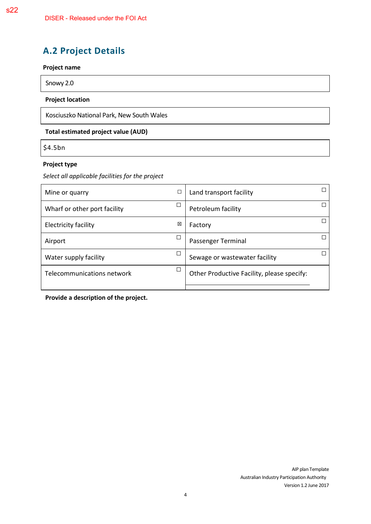# **A.2 Project Details**

#### **Project name**

Snowy 2.0

#### **Project location**

Kosciuszko National Park, New South Wales

#### **Total estimated project value (AUD)**

\$4.5bn

#### **Project type**

*Select all applicable facilities for the project* 

| Mine or quarry               | $\Box$ | Land transport facility                    |  |
|------------------------------|--------|--------------------------------------------|--|
| Wharf or other port facility | г      | Petroleum facility                         |  |
| <b>Electricity facility</b>  | X      | Factory                                    |  |
| Airport                      |        | Passenger Terminal                         |  |
| Water supply facility        |        | Sewage or wastewater facility              |  |
| Telecommunications network   | П      | Other Productive Facility, please specify: |  |

**Provide a description of the project.**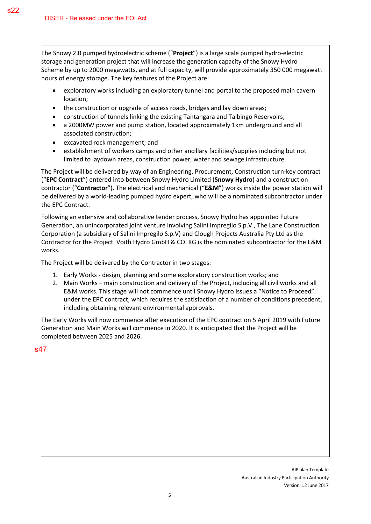The Snowy 2.0 pumped hydroelectric scheme ("**Project**") is a large scale pumped hydro-electric storage and generation project that will increase the generation capacity of the Snowy Hydro Scheme by up to 2000 megawatts, and at full capacity, will provide approximately 350 000 megawatt hours of energy storage. The key features of the Project are:

- exploratory works including an exploratory tunnel and portal to the proposed main cavern location;
- the construction or upgrade of access roads, bridges and lay down areas;
- construction of tunnels linking the existing Tantangara and Talbingo Reservoirs;
- a 2000MW power and pump station, located approximately 1km underground and all associated construction;
- excavated rock management; and
- establishment of workers camps and other ancillary facilities/supplies including but not limited to laydown areas, construction power, water and sewage infrastructure.

The Project will be delivered by way of an Engineering, Procurement, Construction turn-key contract ("**EPC Contract**") entered into between Snowy Hydro Limited (**Snowy Hydro**) and a construction contractor ("**Contractor**"). The electrical and mechanical ("**E&M**") works inside the power station will be delivered by a world-leading pumped hydro expert, who will be a nominated subcontractor under the EPC Contract.

Following an extensive and collaborative tender process, Snowy Hydro has appointed Future Generation, an unincorporated joint venture involving Salini Impregilo S.p.V., The Lane Construction Corporation (a subsidiary of Salini Impregilo S.p.V) and Clough Projects Australia Pty Ltd as the Contractor for the Project. Voith Hydro GmbH & CO. KG is the nominated subcontractor for the E&M works.

The Project will be delivered by the Contractor in two stages:

- 1. Early Works design, planning and some exploratory construction works; and
- 2. Main Works main construction and delivery of the Project, including all civil works and all E&M works. This stage will not commence until Snowy Hydro issues a "Notice to Proceed" under the EPC contract, which requires the satisfaction of a number of conditions precedent, including obtaining relevant environmental approvals.

The Early Works will now commence after execution of the EPC contract on 5 April 2019 with Future Generation and Main Works will commence in 2020. It is anticipated that the Project will be completed between 2025 and 2026.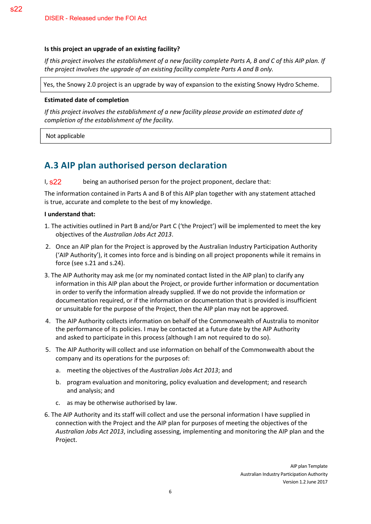#### **Is this project an upgrade of an existing facility?**

*If this project involves the establishment of a new facility complete Parts A, B and C of this AIP plan. If the project involves the upgrade of an existing facility complete Parts A and B only.* 

Yes, the Snowy 2.0 project is an upgrade by way of expansion to the existing Snowy Hydro Scheme.

#### **Estimated date of completion**

*If this project involves the establishment of a new facility please provide an estimated date of completion of the establishment of the facility.* 

Not applicable

s22

### **A.3 AIP plan authorised person declaration**

being an authorised person for the project proponent, declare that:  $\frac{1}{5}$ s<sup>22</sup>

The information contained in Parts A and B of this AIP plan together with any statement attached is true, accurate and complete to the best of my knowledge.

#### **I understand that:**

- 1. The activities outlined in Part B and/or Part C ('the Project') will be implemented to meet the key objectives of the *Australian Jobs Act 2013*.
- 2. Once an AIP plan for the Project is approved by the Australian Industry Participation Authority ('AIP Authority'), it comes into force and is binding on all project proponents while it remains in force (see s.21 and s.24).
- 3. The AIP Authority may ask me (or my nominated contact listed in the AIP plan) to clarify any information in this AIP plan about the Project, or provide further information or documentation in order to verify the information already supplied. If we do not provide the information or documentation required, or if the information or documentation that is provided is insufficient or unsuitable for the purpose of the Project, then the AIP plan may not be approved.
- 4. The AIP Authority collects information on behalf of the Commonwealth of Australia to monitor the performance of its policies. I may be contacted at a future date by the AIP Authority and asked to participate in this process (although I am not required to do so).
- 5. The AIP Authority will collect and use information on behalf of the Commonwealth about the company and its operations for the purposes of:
	- a. meeting the objectives of the *Australian Jobs Act 2013*; and
	- b. program evaluation and monitoring, policy evaluation and development; and research and analysis; and
	- c. as may be otherwise authorised by law.
- 6. The AIP Authority and its staff will collect and use the personal information I have supplied in connection with the Project and the AIP plan for purposes of meeting the objectives of the *Australian Jobs Act 2013*, including assessing, implementing and monitoring the AIP plan and the Project.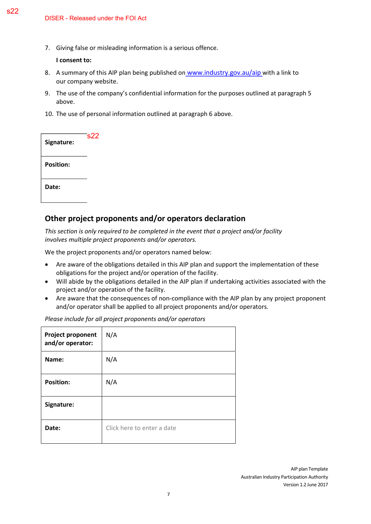7. Giving false or misleading information is a serious offence.

**I consent to:**

- 8. A summary of this AIP plan being published on [www.industry.gov.au/aip](http://www.industry.gov.au/aip) with a link to our company website.
- 9. The use of the company's confidential information for the purposes outlined at paragraph 5 above.
- 10. The use of personal information outlined at paragraph 6 above.

| Signature:       | s22 |
|------------------|-----|
| <b>Position:</b> |     |
| Date:            |     |

#### **Other project proponents and/or operators declaration**

*This section is only required to be completed in the event that a project and/or facility involves multiple project proponents and/or operators.* 

We the project proponents and/or operators named below:

- Are aware of the obligations detailed in this AIP plan and support the implementation of these obligations for the project and/or operation of the facility.
- Will abide by the obligations detailed in the AIP plan if undertaking activities associated with the project and/or operation of the facility.
- Are aware that the consequences of non-compliance with the AIP plan by any project proponent and/or operator shall be applied to all project proponents and/or operators.

| <b>Project proponent</b><br>and/or operator: | N/A                        |
|----------------------------------------------|----------------------------|
| Name:                                        | N/A                        |
| <b>Position:</b>                             | N/A                        |
| Signature:                                   |                            |
| Date:                                        | Click here to enter a date |

*Please include for all project proponents and/or operators*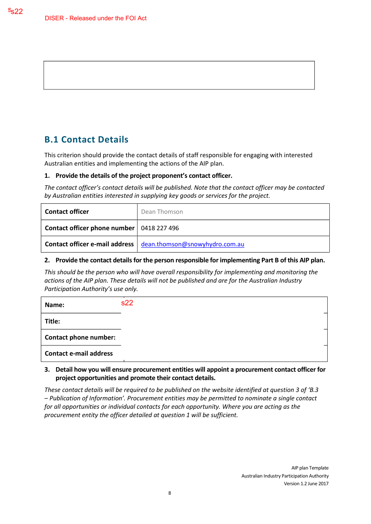### **B.1 Contact Details**

This criterion should provide the contact details of staff responsible for engaging with interested Australian entities and implementing the actions of the AIP plan.

#### **1. Provide the details of the project proponent's contact officer.**

*The contact officer's contact details will be published. Note that the contact officer may be contacted by Australian entities interested in supplying key goods or services for the project.* 

| <b>Contact officer</b>                      | Dean Thomson                                                    |
|---------------------------------------------|-----------------------------------------------------------------|
| Contact officer phone number   0418 227 496 |                                                                 |
|                                             | Contact officer e-mail address   dean.thomson@snowyhydro.com.au |

#### **2. Provide the contact details for the person responsible for implementing Part B of this AIP plan.**

*This should be the person who will have overall responsibility for implementing and monitoring the actions of the AIP plan. These details will not be published and are for the Australian Industry Participation Authority's use only.* 

| Name:                         | s22 |
|-------------------------------|-----|
| Title:                        |     |
| <b>Contact phone number:</b>  |     |
| <b>Contact e-mail address</b> |     |

#### **3. Detail how you will ensure procurement entities will appoint a procurement contact officer for project opportunities and promote their contact details.**

*These contact details will be required to be published on the website identified at question 3 of 'B.3 – Publication of Information'. Procurement entities may be permitted to nominate a single contact for all opportunities or individual contacts for each opportunity. Where you are acting as the procurement entity the officer detailed at question 1 will be sufficient.*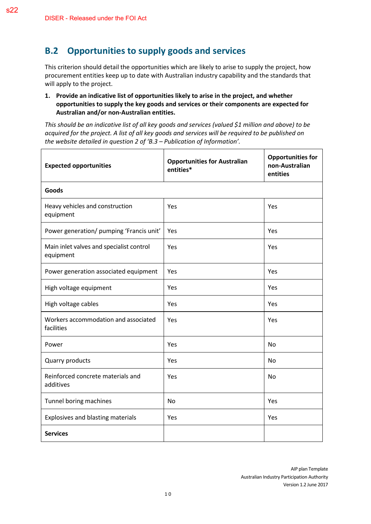### **B.2 Opportunities to supply goods and services**

This criterion should detail the opportunities which are likely to arise to supply the project, how procurement entities keep up to date with Australian industry capability and the standards that will apply to the project.

#### **1. Provide an indicative list of opportunities likely to arise in the project, and whether opportunities to supply the key goods and services or their components are expected for Australian and/or non-Australian entities.**

*This should be an indicative list of all key goods and services (valued \$1 million and above) to be acquired for the project. A list of all key goods and services will be required to be published on the website detailed in question 2 of 'B.3 – Publication of Information'.* 

| <b>Expected opportunities</b>                         | <b>Opportunities for Australian</b><br>entities* | <b>Opportunities for</b><br>non-Australian<br>entities |
|-------------------------------------------------------|--------------------------------------------------|--------------------------------------------------------|
| Goods                                                 |                                                  |                                                        |
| Heavy vehicles and construction<br>equipment          | Yes                                              | Yes                                                    |
| Power generation/ pumping 'Francis unit'              | Yes                                              | Yes                                                    |
| Main inlet valves and specialist control<br>equipment | Yes                                              | Yes                                                    |
| Power generation associated equipment                 | Yes                                              | Yes                                                    |
| High voltage equipment                                | Yes                                              | Yes                                                    |
| High voltage cables                                   | Yes                                              | Yes                                                    |
| Workers accommodation and associated<br>facilities    | Yes                                              | Yes                                                    |
| Power                                                 | Yes                                              | <b>No</b>                                              |
| Quarry products                                       | Yes                                              | No                                                     |
| Reinforced concrete materials and<br>additives        | Yes                                              | <b>No</b>                                              |
| Tunnel boring machines                                | <b>No</b>                                        | Yes                                                    |
| Explosives and blasting materials                     | Yes                                              | Yes                                                    |
| <b>Services</b>                                       |                                                  |                                                        |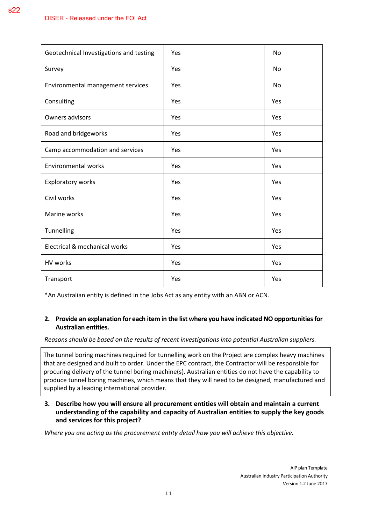s22

| Geotechnical Investigations and testing | Yes | No  |
|-----------------------------------------|-----|-----|
| Survey                                  | Yes | No  |
| Environmental management services       | Yes | No  |
| Consulting                              | Yes | Yes |
| Owners advisors                         | Yes | Yes |
| Road and bridgeworks                    | Yes | Yes |
| Camp accommodation and services         | Yes | Yes |
| <b>Environmental works</b>              | Yes | Yes |
| <b>Exploratory works</b>                | Yes | Yes |
| Civil works                             | Yes | Yes |
| Marine works                            | Yes | Yes |
| Tunnelling                              | Yes | Yes |
| Electrical & mechanical works           | Yes | Yes |
| HV works                                | Yes | Yes |
| Transport                               | Yes | Yes |

\*An Australian entity is defined in the Jobs Act as any entity with an ABN or ACN.

#### **2. Provide an explanation for each item in the list where you have indicated NO opportunities for Australian entities.**

*Reasons should be based on the results of recent investigations into potential Australian suppliers.* 

The tunnel boring machines required for tunnelling work on the Project are complex heavy machines that are designed and built to order. Under the EPC contract, the Contractor will be responsible for procuring delivery of the tunnel boring machine(s). Australian entities do not have the capability to produce tunnel boring machines, which means that they will need to be designed, manufactured and supplied by a leading international provider.

#### **3. Describe how you will ensure all procurement entities will obtain and maintain a current understanding of the capability and capacity of Australian entities to supply the key goods and services for this project?**

*Where you are acting as the procurement entity detail how you will achieve this objective.* 

1 1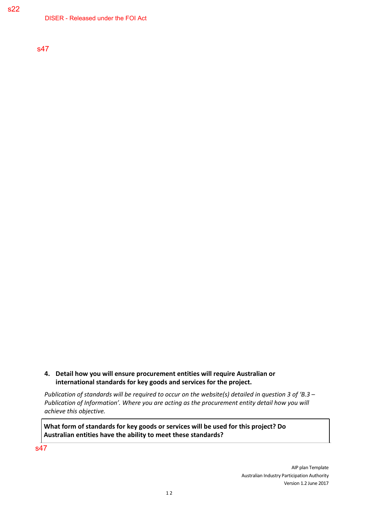DISER - Released under the FOI Act

s47

#### **4. Detail how you will ensure procurement entities will require Australian or international standards for key goods and services for the project.**

*Publication of standards will be required to occur on the website(s) detailed in question 3 of 'B.3 – Publication of Information'. Where you are acting as the procurement entity detail how you will achieve this objective.* 

**What form of standards for key goods or services will be used for this project? Do Australian entities have the ability to meet these standards?**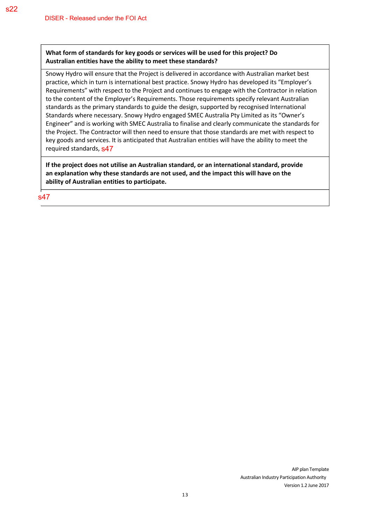#### **What form of standards for key goods or services will be used for this project? Do Australian entities have the ability to meet these standards?**

Snowy Hydro will ensure that the Project is delivered in accordance with Australian market best practice, which in turn is international best practice. Snowy Hydro has developed its "Employer's Requirements" with respect to the Project and continues to engage with the Contractor in relation to the content of the Employer's Requirements. Those requirements specify relevant Australian standards as the primary standards to guide the design, supported by recognised International Standards where necessary. Snowy Hydro engaged SMEC Australia Pty Limited as its "Owner's Engineer" and is working with SMEC Australia to finalise and clearly communicate the standards for the Project. The Contractor will then need to ensure that those standards are met with respect to key goods and services. It is anticipated that Australian entities will have the ability to meet the required standards, **s47** 

**If the project does not utilise an Australian standard, or an international standard, provide an explanation why these standards are not used, and the impact this will have on the ability of Australian entities to participate.**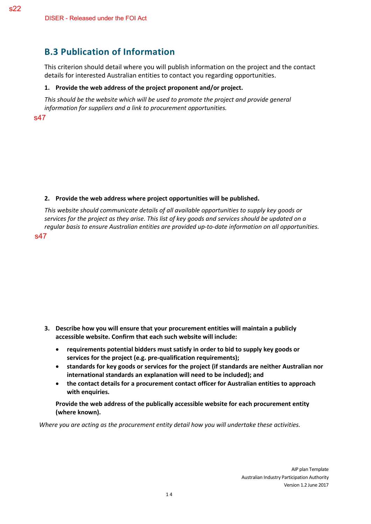# **B.3 Publication of Information**

This criterion should detail where you will publish information on the project and the contact details for interested Australian entities to contact you regarding opportunities.

#### **1. Provide the web address of the project proponent and/or project.**

*This should be the website which will be used to promote the project and provide general information for suppliers and a link to procurement opportunities.* 

s47

s22

#### **2. Provide the web address where project opportunities will be published.**

*This website should communicate details of all available opportunities to supply key goods or services for the project as they arise. This list of key goods and services should be updated on a regular basis to ensure Australian entities are provided up-to-date information on all opportunities.* 

s47

- **3. Describe how you will ensure that your procurement entities will maintain a publicly accessible website. Confirm that each such website will include:** 
	- **requirements potential bidders must satisfy in order to bid to supply key goods or services for the project (e.g. pre-qualification requirements);**
	- **standards for key goods or services for the project (if standards are neither Australian nor international standards an explanation will need to be included); and**
	- **the contact details for a procurement contact officer for Australian entities to approach with enquiries.**

**Provide the web address of the publically accessible website for each procurement entity (where known).** 

*Where you are acting as the procurement entity detail how you will undertake these activities.*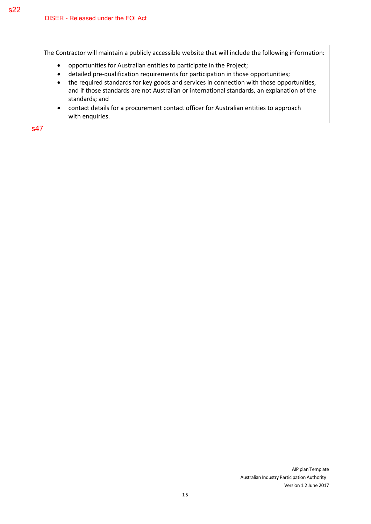The Contractor will maintain a publicly accessible website that will include the following information:

- opportunities for Australian entities to participate in the Project;
- detailed pre-qualification requirements for participation in those opportunities;
- the required standards for key goods and services in connection with those opportunities, and if those standards are not Australian or international standards, an explanation of the standards; and
- contact details for a procurement contact officer for Australian entities to approach with enquiries.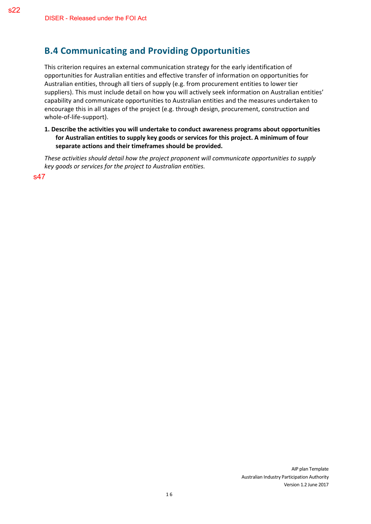### **B.4 Communicating and Providing Opportunities**

This criterion requires an external communication strategy for the early identification of opportunities for Australian entities and effective transfer of information on opportunities for Australian entities, through all tiers of supply (e.g. from procurement entities to lower tier suppliers). This must include detail on how you will actively seek information on Australian entities' capability and communicate opportunities to Australian entities and the measures undertaken to encourage this in all stages of the project (e.g. through design, procurement, construction and whole-of-life-support).

**1. Describe the activities you will undertake to conduct awareness programs about opportunities for Australian entities to supply key goods or services for this project. A minimum of four separate actions and their timeframes should be provided.** 

*These activities should detail how the project proponent will communicate opportunities to supply key goods or services for the project to Australian entities.*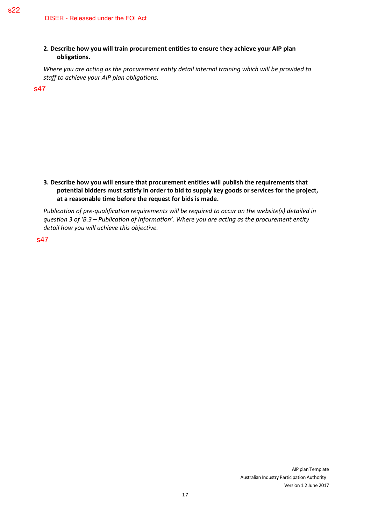#### **2. Describe how you will train procurement entities to ensure they achieve your AIP plan obligations.**

*Where you are acting as the procurement entity detail internal training which will be provided to staff to achieve your AIP plan obligations.* 

s47

#### **3. Describe how you will ensure that procurement entities will publish the requirements that potential bidders must satisfy in order to bid to supply key goods or services for the project, at a reasonable time before the request for bids is made.**

*Publication of pre-qualification requirements will be required to occur on the website(s) detailed in question 3 of 'B.3 – Publication of Information'. Where you are acting as the procurement entity detail how you will achieve this objective.* 

s47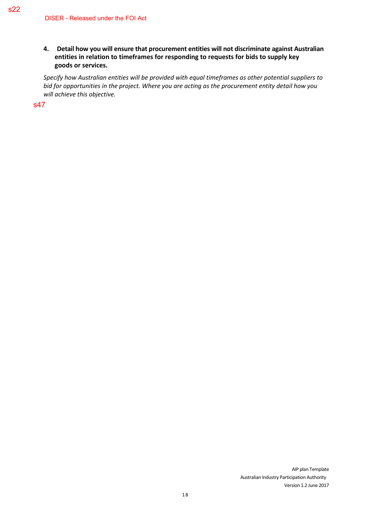#### **4. Detail how you will ensure that procurement entities will not discriminate against Australian entities in relation to timeframes for responding to requests for bids to supply key goods or services.**

*Specify how Australian entities will be provided with equal timeframes as other potential suppliers to bid for opportunities in the project. Where you are acting as the procurement entity detail how you will achieve this objective.*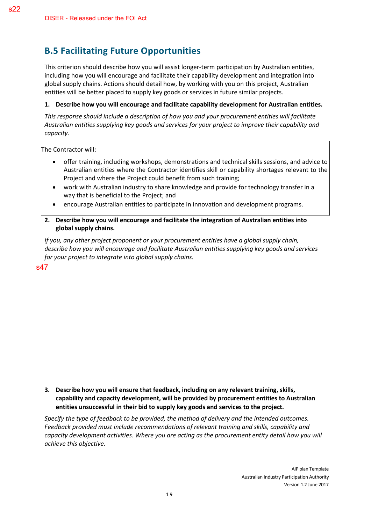# **B.5 Facilitating Future Opportunities**

This criterion should describe how you will assist longer-term participation by Australian entities, including how you will encourage and facilitate their capability development and integration into global supply chains. Actions should detail how, by working with you on this project, Australian entities will be better placed to supply key goods or services in future similar projects.

#### **1. Describe how you will encourage and facilitate capability development for Australian entities.**

*This response should include a description of how you and your procurement entities will facilitate Australian entities supplying key goods and services for your project to improve their capability and capacity.* 

The Contractor will:

- offer training, including workshops, demonstrations and technical skills sessions, and advice to Australian entities where the Contractor identifies skill or capability shortages relevant to the Project and where the Project could benefit from such training;
- work with Australian industry to share knowledge and provide for technology transfer in a way that is beneficial to the Project; and
- encourage Australian entities to participate in innovation and development programs.
- **2. Describe how you will encourage and facilitate the integration of Australian entities into global supply chains.**

*If you, any other project proponent or your procurement entities have a global supply chain, describe how you will encourage and facilitate Australian entities supplying key goods and services for your project to integrate into global supply chains.* 

s47

**3. Describe how you will ensure that feedback, including on any relevant training, skills, capability and capacity development, will be provided by procurement entities to Australian entities unsuccessful in their bid to supply key goods and services to the project.** 

*Specify the type of feedback to be provided, the method of delivery and the intended outcomes. Feedback provided must include recommendations of relevant training and skills, capability and capacity development activities. Where you are acting as the procurement entity detail how you will achieve this objective.*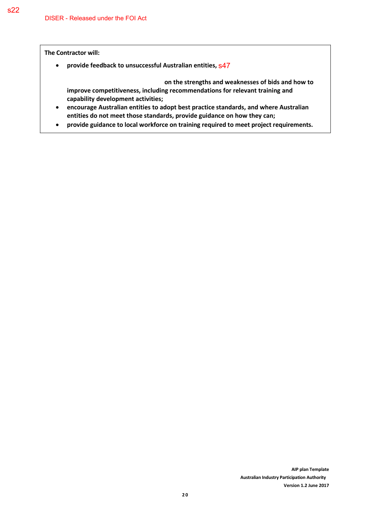**The Contractor will:** 

• **provide feedback to unsuccessful Australian entities,**  s47

 **on the strengths and weaknesses of bids and how to improve competitiveness, including recommendations for relevant training and capability development activities;** 

- **encourage Australian entities to adopt best practice standards, and where Australian entities do not meet those standards, provide guidance on how they can;**
- **provide guidance to local workforce on training required to meet project requirements.**

**AIP plan Template**

**Version 1.2 June 2017**

**Australian Industry Participation Authority**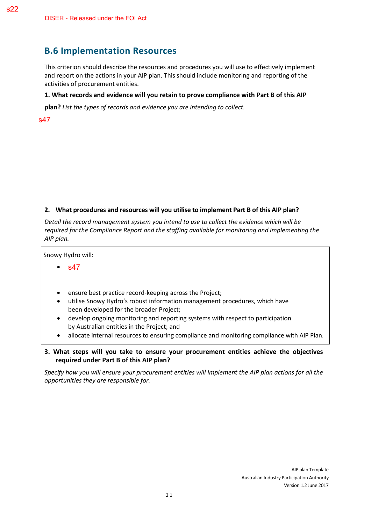### **B.6 Implementation Resources**

This criterion should describe the resources and procedures you will use to effectively implement and report on the actions in your AIP plan. This should include monitoring and reporting of the activities of procurement entities.

#### **1. What records and evidence will you retain to prove compliance with Part B of this AIP**

**plan?** *List the types of records and evidence you are intending to collect.*

#### s47

#### **2. What procedures and resources will you utilise to implement Part B of this AIP plan?**

*Detail the record management system you intend to use to collect the evidence which will be required for the Compliance Report and the staffing available for monitoring and implementing the AIP plan.* 

Snowy Hydro will: • • ensure best practice record-keeping across the Project; s47

- utilise Snowy Hydro's robust information management procedures, which have been developed for the broader Project;
- develop ongoing monitoring and reporting systems with respect to participation by Australian entities in the Project; and
- allocate internal resources to ensuring compliance and monitoring compliance with AIP Plan.

#### **3. What steps will you take to ensure your procurement entities achieve the objectives required under Part B of this AIP plan?**

*Specify how you will ensure your procurement entities will implement the AIP plan actions for all the opportunities they are responsible for.*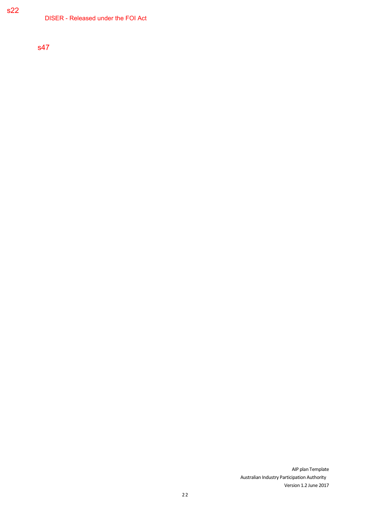DISER - Released under the FOI Act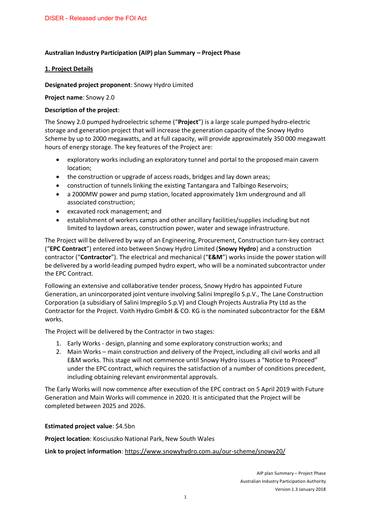#### **Australian Industry Participation (AIP) plan Summary – Project Phase**

#### **1. Project Details**

#### **Designated project proponent**: Snowy Hydro Limited

**Project name**: Snowy 2.0

#### **Description of the project**:

The Snowy 2.0 pumped hydroelectric scheme ("**Project**") is a large scale pumped hydro-electric storage and generation project that will increase the generation capacity of the Snowy Hydro Scheme by up to 2000 megawatts, and at full capacity, will provide approximately 350 000 megawatt hours of energy storage. The key features of the Project are:

- exploratory works including an exploratory tunnel and portal to the proposed main cavern location;
- the construction or upgrade of access roads, bridges and lay down areas;
- construction of tunnels linking the existing Tantangara and Talbingo Reservoirs;
- a 2000MW power and pump station, located approximately 1km underground and all associated construction;
- excavated rock management; and
- establishment of workers camps and other ancillary facilities/supplies including but not limited to laydown areas, construction power, water and sewage infrastructure.

The Project will be delivered by way of an Engineering, Procurement, Construction turn-key contract ("**EPC Contract**") entered into between Snowy Hydro Limited (**Snowy Hydro**) and a construction contractor ("**Contractor**"). The electrical and mechanical ("**E&M**") works inside the power station will be delivered by a world-leading pumped hydro expert, who will be a nominated subcontractor under the EPC Contract.

Following an extensive and collaborative tender process, Snowy Hydro has appointed Future Generation, an unincorporated joint venture involving Salini Impregilo S.p.V., The Lane Construction Corporation (a subsidiary of Salini Impregilo S.p.V) and Clough Projects Australia Pty Ltd as the Contractor for the Project. Voith Hydro GmbH & CO. KG is the nominated subcontractor for the E&M works.

The Project will be delivered by the Contractor in two stages:

- 1. Early Works design, planning and some exploratory construction works; and
- 2. Main Works main construction and delivery of the Project, including all civil works and all E&M works. This stage will not commence until Snowy Hydro issues a "Notice to Proceed" under the EPC contract, which requires the satisfaction of a number of conditions precedent, including obtaining relevant environmental approvals.

The Early Works will now commence after execution of the EPC contract on 5 April 2019 with Future Generation and Main Works will commence in 2020. It is anticipated that the Project will be completed between 2025 and 2026.

#### **Estimated project value**: \$4.5bn

**Project location**: Kosciuszko National Park, New South Wales

**Link to project information**: <https://www.snowyhydro.com.au/our-scheme/snowy20/>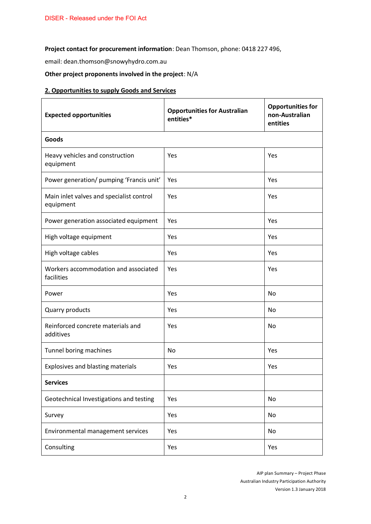**Project contact for procurement information**: Dean Thomson, phone: 0418 227 496,

email: dean.thomson@snowyhydro.com.au

**Other project proponents involved in the project**: N/A

#### **2. Opportunities to supply Goods and Services**

| <b>Expected opportunities</b>                         | <b>Opportunities for Australian</b><br>entities* | <b>Opportunities for</b><br>non-Australian<br>entities |
|-------------------------------------------------------|--------------------------------------------------|--------------------------------------------------------|
| <b>Goods</b>                                          |                                                  |                                                        |
| Heavy vehicles and construction<br>equipment          | Yes                                              | Yes                                                    |
| Power generation/ pumping 'Francis unit'              | Yes                                              | Yes                                                    |
| Main inlet valves and specialist control<br>equipment | Yes                                              | Yes                                                    |
| Power generation associated equipment                 | Yes                                              | Yes                                                    |
| High voltage equipment                                | Yes                                              | Yes                                                    |
| High voltage cables                                   | Yes                                              | Yes                                                    |
| Workers accommodation and associated<br>facilities    | Yes                                              | Yes                                                    |
| Power                                                 | Yes                                              | No                                                     |
| Quarry products                                       | Yes                                              | No                                                     |
| Reinforced concrete materials and<br>additives        | Yes                                              | No                                                     |
| Tunnel boring machines                                | No                                               | Yes                                                    |
| Explosives and blasting materials                     | Yes                                              | Yes                                                    |
| <b>Services</b>                                       |                                                  |                                                        |
| Geotechnical Investigations and testing               | Yes                                              | No                                                     |
| Survey                                                | Yes                                              | No                                                     |
| Environmental management services                     | Yes                                              | No                                                     |
| Consulting                                            | Yes                                              | Yes                                                    |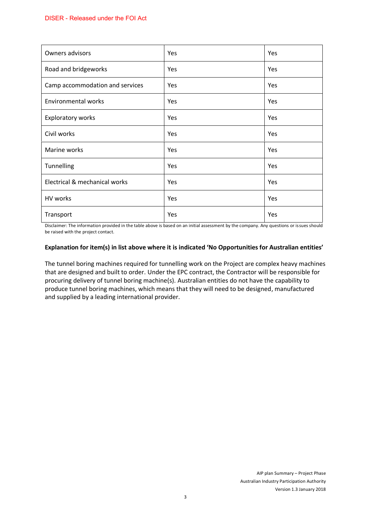| Owners advisors                 | Yes | Yes |
|---------------------------------|-----|-----|
| Road and bridgeworks            | Yes | Yes |
| Camp accommodation and services | Yes | Yes |
| <b>Environmental works</b>      | Yes | Yes |
| <b>Exploratory works</b>        | Yes | Yes |
| Civil works                     | Yes | Yes |
| Marine works                    | Yes | Yes |
| Tunnelling                      | Yes | Yes |
| Electrical & mechanical works   | Yes | Yes |
| HV works                        | Yes | Yes |
| Transport                       | Yes | Yes |

Disclaimer: The information provided in the table above is based on an initial assessment by the company. Any questions or issues should be raised with the project contact.

#### **Explanation for item(s) in list above where it is indicated 'No Opportunities for Australian entities'**

The tunnel boring machines required for tunnelling work on the Project are complex heavy machines that are designed and built to order. Under the EPC contract, the Contractor will be responsible for procuring delivery of tunnel boring machine(s). Australian entities do not have the capability to produce tunnel boring machines, which means that they will need to be designed, manufactured and supplied by a leading international provider.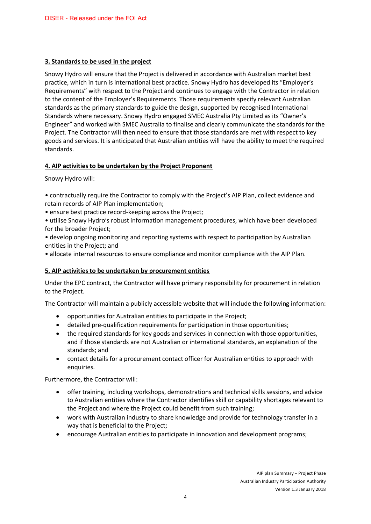#### **3. Standards to be used in the project**

Snowy Hydro will ensure that the Project is delivered in accordance with Australian market best practice, which in turn is international best practice. Snowy Hydro has developed its "Employer's Requirements" with respect to the Project and continues to engage with the Contractor in relation to the content of the Employer's Requirements. Those requirements specify relevant Australian standards as the primary standards to guide the design, supported by recognised International Standards where necessary. Snowy Hydro engaged SMEC Australia Pty Limited as its "Owner's Engineer" and worked with SMEC Australia to finalise and clearly communicate the standards for the Project. The Contractor will then need to ensure that those standards are met with respect to key goods and services. It is anticipated that Australian entities will have the ability to meet the required standards.

#### **4. AIP activities to be undertaken by the Project Proponent**

Snowy Hydro will:

• contractually require the Contractor to comply with the Project's AIP Plan, collect evidence and retain records of AIP Plan implementation;

• ensure best practice record-keeping across the Project;

• utilise Snowy Hydro's robust information management procedures, which have been developed for the broader Project;

• develop ongoing monitoring and reporting systems with respect to participation by Australian entities in the Project; and

• allocate internal resources to ensure compliance and monitor compliance with the AIP Plan.

#### **5. AIP activities to be undertaken by procurement entities**

Under the EPC contract, the Contractor will have primary responsibility for procurement in relation to the Project.

The Contractor will maintain a publicly accessible website that will include the following information:

- opportunities for Australian entities to participate in the Project;
- detailed pre-qualification requirements for participation in those opportunities;
- the required standards for key goods and services in connection with those opportunities, and if those standards are not Australian or international standards, an explanation of the standards; and
- contact details for a procurement contact officer for Australian entities to approach with enquiries.

Furthermore, the Contractor will:

- offer training, including workshops, demonstrations and technical skills sessions, and advice to Australian entities where the Contractor identifies skill or capability shortages relevant to the Project and where the Project could benefit from such training;
- work with Australian industry to share knowledge and provide for technology transfer in a way that is beneficial to the Project;
- encourage Australian entities to participate in innovation and development programs;